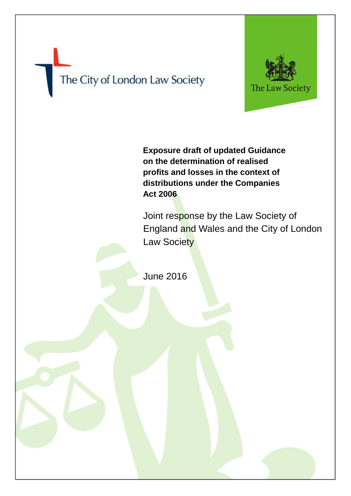## The City of London Law Society



**Exposure draft of updated Guidance on the determination of realised profits and losses in the context of distributions under the Companies Act 2006**

Joint response by the Law Society of England and Wales and the City of London Law Society

June 2016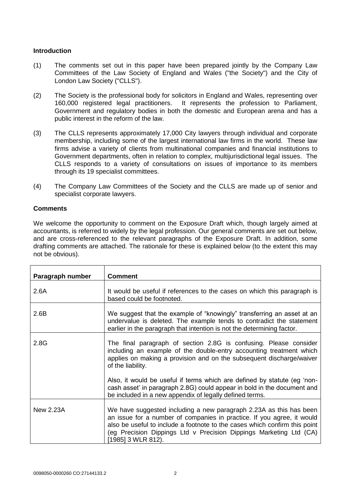## **Introduction**

- (1) The comments set out in this paper have been prepared jointly by the Company Law Committees of the Law Society of England and Wales ("the Society") and the City of London Law Society ("CLLS").
- (2) The Society is the professional body for solicitors in England and Wales, representing over 160,000 registered legal practitioners. It represents the profession to Parliament, Government and regulatory bodies in both the domestic and European arena and has a public interest in the reform of the law.
- (3) The CLLS represents approximately 17,000 City lawyers through individual and corporate membership, including some of the largest international law firms in the world. These law firms advise a variety of clients from multinational companies and financial institutions to Government departments, often in relation to complex, multijurisdictional legal issues. The CLLS responds to a variety of consultations on issues of importance to its members through its 19 specialist committees.
- (4) The Company Law Committees of the Society and the CLLS are made up of senior and specialist corporate lawyers.

## **Comments**

We welcome the opportunity to comment on the Exposure Draft which, though largely aimed at accountants, is referred to widely by the legal profession. Our general comments are set out below, and are cross-referenced to the relevant paragraphs of the Exposure Draft. In addition, some drafting comments are attached. The rationale for these is explained below (to the extent this may not be obvious).

| Paragraph number | <b>Comment</b>                                                                                                                                                                                                                                                                                                         |
|------------------|------------------------------------------------------------------------------------------------------------------------------------------------------------------------------------------------------------------------------------------------------------------------------------------------------------------------|
| 2.6A             | It would be useful if references to the cases on which this paragraph is<br>based could be footnoted.                                                                                                                                                                                                                  |
| 2.6B             | We suggest that the example of "knowingly" transferring an asset at an<br>undervalue is deleted. The example tends to contradict the statement<br>earlier in the paragraph that intention is not the determining factor.                                                                                               |
| 2.8G             | The final paragraph of section 2.8G is confusing. Please consider<br>including an example of the double-entry accounting treatment which<br>applies on making a provision and on the subsequent discharge/waiver<br>of the liability.                                                                                  |
|                  | Also, it would be useful if terms which are defined by statute (eg 'non-<br>cash asset' in paragraph 2.8G) could appear in bold in the document and<br>be included in a new appendix of legally defined terms.                                                                                                         |
| New 2.23A        | We have suggested including a new paragraph 2.23A as this has been<br>an issue for a number of companies in practice. If you agree, it would<br>also be useful to include a footnote to the cases which confirm this point<br>(eg Precision Dippings Ltd v Precision Dippings Marketing Ltd (CA)<br>[1985] 3 WLR 812). |